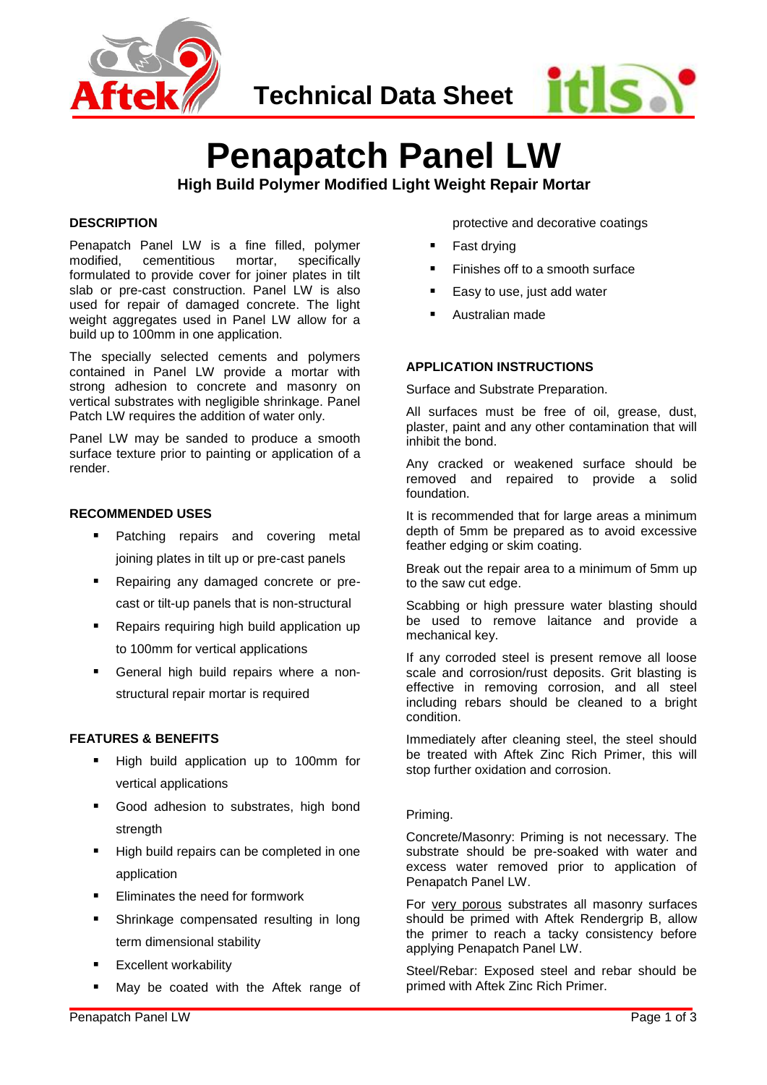

**Technical Data Sheet**



# **Penapatch Panel LW High Build Polymer Modified Light Weight Repair Mortar**

#### **DESCRIPTION**

Penapatch Panel LW is a fine filled, polymer modified, cementitious mortar, specifically formulated to provide cover for joiner plates in tilt slab or pre-cast construction. Panel LW is also used for repair of damaged concrete. The light weight aggregates used in Panel LW allow for a build up to 100mm in one application.

The specially selected cements and polymers contained in Panel LW provide a mortar with strong adhesion to concrete and masonry on vertical substrates with negligible shrinkage. Panel Patch LW requires the addition of water only.

Panel LW may be sanded to produce a smooth surface texture prior to painting or application of a render.

### **RECOMMENDED USES**

- Patching repairs and covering metal joining plates in tilt up or pre-cast panels
- Repairing any damaged concrete or precast or tilt-up panels that is non-structural
- Repairs requiring high build application up to 100mm for vertical applications
- General high build repairs where a nonstructural repair mortar is required

## **FEATURES & BENEFITS**

- High build application up to 100mm for vertical applications
- **Good adhesion to substrates, high bond** strength
- High build repairs can be completed in one application
- Eliminates the need for formwork
- Shrinkage compensated resulting in long term dimensional stability
- Excellent workability
- May be coated with the Aftek range of

protective and decorative coatings

- Fast drying
- Finishes off to a smooth surface
- Easy to use, just add water
- Australian made

## **APPLICATION INSTRUCTIONS**

Surface and Substrate Preparation.

All surfaces must be free of oil, grease, dust, plaster, paint and any other contamination that will inhibit the bond.

Any cracked or weakened surface should be removed and repaired to provide a solid foundation.

It is recommended that for large areas a minimum depth of 5mm be prepared as to avoid excessive feather edging or skim coating.

Break out the repair area to a minimum of 5mm up to the saw cut edge.

Scabbing or high pressure water blasting should be used to remove laitance and provide a mechanical key.

If any corroded steel is present remove all loose scale and corrosion/rust deposits. Grit blasting is effective in removing corrosion, and all steel including rebars should be cleaned to a bright condition.

Immediately after cleaning steel, the steel should be treated with Aftek Zinc Rich Primer, this will stop further oxidation and corrosion.

#### Priming.

Concrete/Masonry: Priming is not necessary. The substrate should be pre-soaked with water and excess water removed prior to application of Penapatch Panel LW.

For very porous substrates all masonry surfaces should be primed with Aftek Rendergrip B, allow the primer to reach a tacky consistency before applying Penapatch Panel LW.

Steel/Rebar: Exposed steel and rebar should be primed with Aftek Zinc Rich Primer.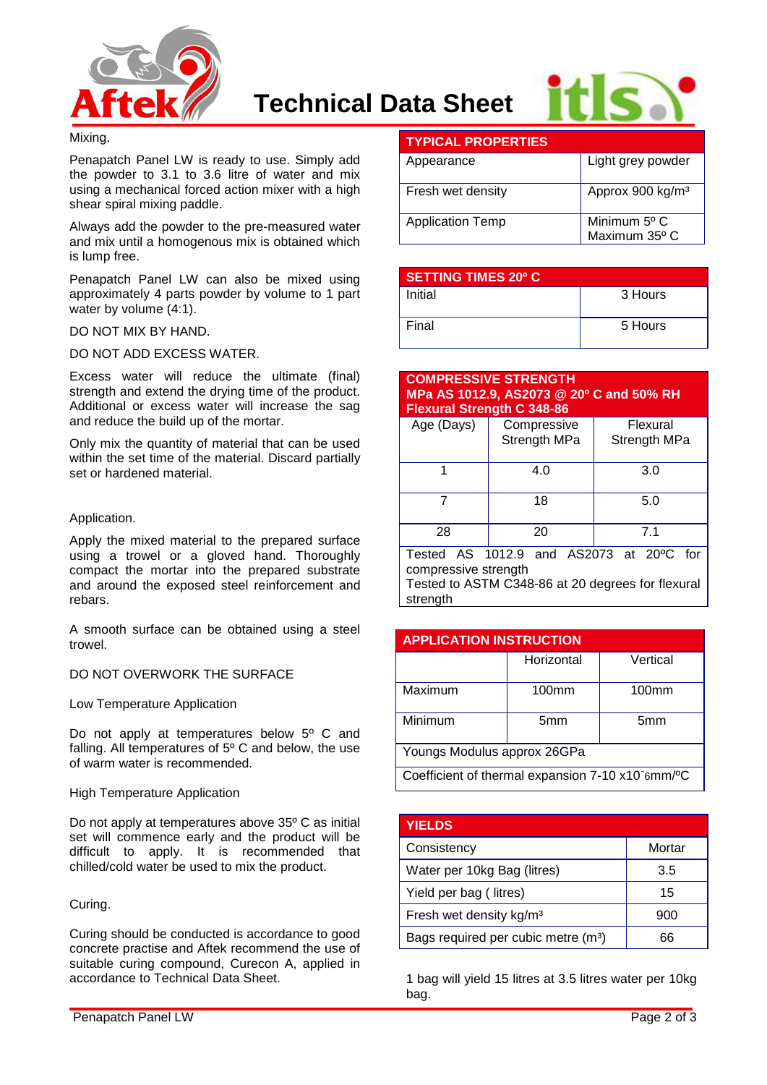



## Mixing.

Penapatch Panel LW is ready to use. Simply add the powder to 3.1 to 3.6 litre of water and mix using a mechanical forced action mixer with a high shear spiral mixing paddle.

Always add the powder to the pre-measured water and mix until a homogenous mix is obtained which is lump free.

Penapatch Panel LW can also be mixed using approximately 4 parts powder by volume to 1 part water by volume (4:1).

#### DO NOT MIX BY HAND.

DO NOT ADD EXCESS WATER.

Excess water will reduce the ultimate (final) strength and extend the drying time of the product. Additional or excess water will increase the sag and reduce the build up of the mortar.

Only mix the quantity of material that can be used within the set time of the material. Discard partially set or hardened material.

### Application.

Apply the mixed material to the prepared surface using a trowel or a gloved hand. Thoroughly compact the mortar into the prepared substrate and around the exposed steel reinforcement and rebars.

A smooth surface can be obtained using a steel trowel.

## DO NOT OVERWORK THE SURFACE

Low Temperature Application

Do not apply at temperatures below 5° C and falling. All temperatures of 5º C and below, the use of warm water is recommended.

#### High Temperature Application

Do not apply at temperatures above 35º C as initial set will commence early and the product will be difficult to apply. It is recommended that chilled/cold water be used to mix the product.

## Curing.

Curing should be conducted is accordance to good concrete practise and Aftek recommend the use of suitable curing compound, Curecon A, applied in accordance to Technical Data Sheet.

| <b>TYPICAL PROPERTIES</b> |                               |
|---------------------------|-------------------------------|
| Appearance                | Light grey powder             |
| Fresh wet density         | Approx 900 kg/m <sup>3</sup>  |
| <b>Application Temp</b>   | Minimum 5° C<br>Maximum 35° C |

| <b>SETTING TIMES 20º C</b> |         |  |  |
|----------------------------|---------|--|--|
| Initial                    | 3 Hours |  |  |
| Final                      | 5 Hours |  |  |

#### **COMPRESSIVE STRENGTH MPa AS 1012.9, AS2073 @ 20º C and 50% RH Flexural Strength C 348-86**

| Age (Days)           | Compressive<br>Strength MPa | Flexural<br>Strength MPa                               |
|----------------------|-----------------------------|--------------------------------------------------------|
|                      | 4.0                         | 3.0                                                    |
|                      | 18                          | 5.0                                                    |
| 28                   | 20                          | 71                                                     |
| — <u>1</u><br>$\sim$ | 0.0000<br>10100             | $\sim$<br>$\epsilon$ . The set of $\epsilon$<br>$\sim$ |

Tested AS 1012.9 and AS2073 at 20ºC for compressive strength Tested to ASTM C348-86 at 20 degrees for flexural strength

| <b>APPLICATION INSTRUCTION</b>                   |                 |                   |  |  |  |
|--------------------------------------------------|-----------------|-------------------|--|--|--|
|                                                  | Horizontal      | Vertical          |  |  |  |
| Maximum                                          | 100mm           | 100 <sub>mm</sub> |  |  |  |
| Minimum                                          | 5 <sub>mm</sub> | 5 <sub>mm</sub>   |  |  |  |
| Youngs Modulus approx 26GPa                      |                 |                   |  |  |  |
| Coefficient of thermal expansion 7-10 x10 6mm/°C |                 |                   |  |  |  |

| <b>YIELDS</b>                                   |        |
|-------------------------------------------------|--------|
| Consistency                                     | Mortar |
| Water per 10kg Bag (litres)                     | 3.5    |
| Yield per bag (litres)                          | 15     |
| Fresh wet density kg/m <sup>3</sup>             | 900    |
| Bags required per cubic metre (m <sup>3</sup> ) | ิคค    |

1 bag will yield 15 litres at 3.5 litres water per 10kg bag.